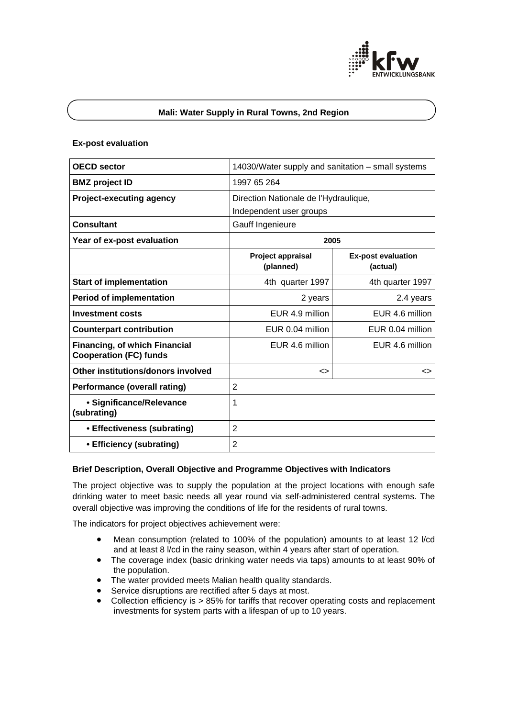

## **Mali: Water Supply in Rural Towns, 2nd Region**

#### **Ex-post evaluation**

| <b>OECD sector</b>                                                    | 14030/Water supply and sanitation - small systems |                                       |
|-----------------------------------------------------------------------|---------------------------------------------------|---------------------------------------|
| <b>BMZ</b> project ID                                                 | 1997 65 264                                       |                                       |
| <b>Project-executing agency</b>                                       | Direction Nationale de l'Hydraulique,             |                                       |
|                                                                       | Independent user groups                           |                                       |
| <b>Consultant</b>                                                     | Gauff Ingenieure                                  |                                       |
| Year of ex-post evaluation                                            | 2005                                              |                                       |
|                                                                       | Project appraisal<br>(planned)                    | <b>Ex-post evaluation</b><br>(actual) |
| <b>Start of implementation</b>                                        | 4th quarter 1997                                  | 4th quarter 1997                      |
| <b>Period of implementation</b>                                       | 2 years                                           | 2.4 years                             |
| <b>Investment costs</b>                                               | EUR 4.9 million                                   | EUR 4.6 million                       |
| <b>Counterpart contribution</b>                                       | EUR 0.04 million                                  | EUR 0.04 million                      |
| <b>Financing, of which Financial</b><br><b>Cooperation (FC) funds</b> | EUR 4.6 million                                   | EUR 4.6 million                       |
| Other institutions/donors involved                                    | <>                                                | <>                                    |
| <b>Performance (overall rating)</b>                                   | $\overline{2}$                                    |                                       |
| • Significance/Relevance<br>(subrating)                               | 1                                                 |                                       |
| • Effectiveness (subrating)                                           | $\overline{2}$                                    |                                       |
| • Efficiency (subrating)                                              | $\overline{2}$                                    |                                       |

#### **Brief Description, Overall Objective and Programme Objectives with Indicators**

The project objective was to supply the population at the project locations with enough safe drinking water to meet basic needs all year round via self-administered central systems. The overall objective was improving the conditions of life for the residents of rural towns.

The indicators for project objectives achievement were:

- Mean consumption (related to 100% of the population) amounts to at least 12 l/cd and at least 8 l/cd in the rainy season, within 4 years after start of operation.
- The coverage index (basic drinking water needs via taps) amounts to at least 90% of the population.
- The water provided meets Malian health quality standards.
- Service disruptions are rectified after 5 days at most.
- Collection efficiency is > 85% for tariffs that recover operating costs and replacement investments for system parts with a lifespan of up to 10 years.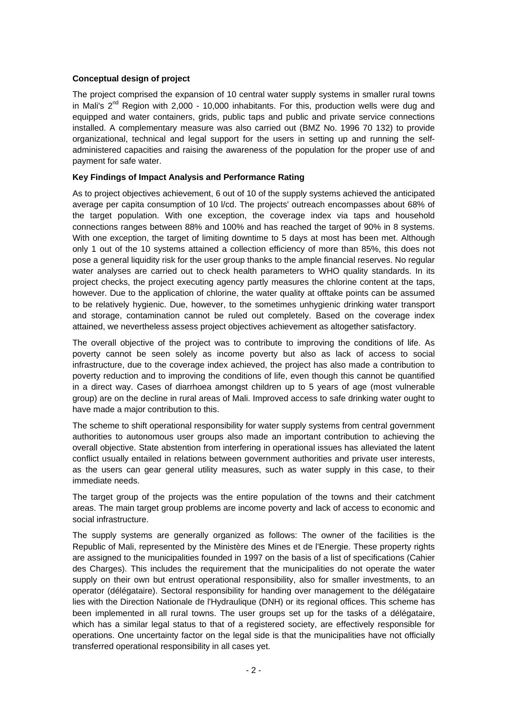## **Conceptual design of project**

The project comprised the expansion of 10 central water supply systems in smaller rural towns in Mali's  $2^{nd}$  Region with 2,000 - 10,000 inhabitants. For this, production wells were dug and equipped and water containers, grids, public taps and public and private service connections installed. A complementary measure was also carried out (BMZ No. 1996 70 132) to provide organizational, technical and legal support for the users in setting up and running the selfadministered capacities and raising the awareness of the population for the proper use of and payment for safe water.

## **Key Findings of Impact Analysis and Performance Rating**

As to project objectives achievement, 6 out of 10 of the supply systems achieved the anticipated average per capita consumption of 10 l/cd. The projects' outreach encompasses about 68% of the target population. With one exception, the coverage index via taps and household connections ranges between 88% and 100% and has reached the target of 90% in 8 systems. With one exception, the target of limiting downtime to 5 days at most has been met. Although only 1 out of the 10 systems attained a collection efficiency of more than 85%, this does not pose a general liquidity risk for the user group thanks to the ample financial reserves. No regular water analyses are carried out to check health parameters to WHO quality standards. In its project checks, the project executing agency partly measures the chlorine content at the taps, however. Due to the application of chlorine, the water quality at offtake points can be assumed to be relatively hygienic. Due, however, to the sometimes unhygienic drinking water transport and storage, contamination cannot be ruled out completely. Based on the coverage index attained, we nevertheless assess project objectives achievement as altogether satisfactory.

The overall objective of the project was to contribute to improving the conditions of life. As poverty cannot be seen solely as income poverty but also as lack of access to social infrastructure, due to the coverage index achieved, the project has also made a contribution to poverty reduction and to improving the conditions of life, even though this cannot be quantified in a direct way. Cases of diarrhoea amongst children up to 5 years of age (most vulnerable group) are on the decline in rural areas of Mali. Improved access to safe drinking water ought to have made a major contribution to this.

The scheme to shift operational responsibility for water supply systems from central government authorities to autonomous user groups also made an important contribution to achieving the overall objective. State abstention from interfering in operational issues has alleviated the latent conflict usually entailed in relations between government authorities and private user interests, as the users can gear general utility measures, such as water supply in this case, to their immediate needs.

The target group of the projects was the entire population of the towns and their catchment areas. The main target group problems are income poverty and lack of access to economic and social infrastructure.

The supply systems are generally organized as follows: The owner of the facilities is the Republic of Mali, represented by the Ministère des Mines et de l'Energie. These property rights are assigned to the municipalities founded in 1997 on the basis of a list of specifications (Cahier des Charges). This includes the requirement that the municipalities do not operate the water supply on their own but entrust operational responsibility, also for smaller investments, to an operator (délégataire). Sectoral responsibility for handing over management to the délégataire lies with the Direction Nationale de l'Hydraulique (DNH) or its regional offices. This scheme has been implemented in all rural towns. The user groups set up for the tasks of a délégataire, which has a similar legal status to that of a registered society, are effectively responsible for operations. One uncertainty factor on the legal side is that the municipalities have not officially transferred operational responsibility in all cases yet.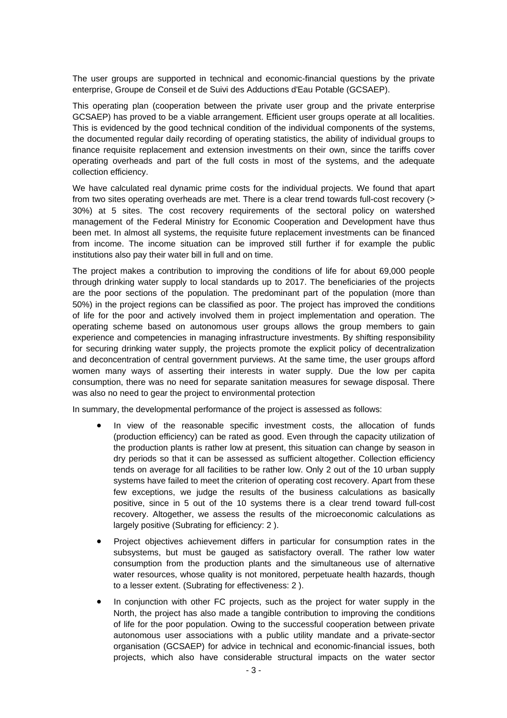The user groups are supported in technical and economic-financial questions by the private enterprise, Groupe de Conseil et de Suivi des Adductions d'Eau Potable (GCSAEP).

This operating plan (cooperation between the private user group and the private enterprise GCSAEP) has proved to be a viable arrangement. Efficient user groups operate at all localities. This is evidenced by the good technical condition of the individual components of the systems, the documented regular daily recording of operating statistics, the ability of individual groups to finance requisite replacement and extension investments on their own, since the tariffs cover operating overheads and part of the full costs in most of the systems, and the adequate collection efficiency.

We have calculated real dynamic prime costs for the individual projects. We found that apart from two sites operating overheads are met. There is a clear trend towards full-cost recovery (> 30%) at 5 sites. The cost recovery requirements of the sectoral policy on watershed management of the Federal Ministry for Economic Cooperation and Development have thus been met. In almost all systems, the requisite future replacement investments can be financed from income. The income situation can be improved still further if for example the public institutions also pay their water bill in full and on time.

The project makes a contribution to improving the conditions of life for about 69,000 people through drinking water supply to local standards up to 2017. The beneficiaries of the projects are the poor sections of the population. The predominant part of the population (more than 50%) in the project regions can be classified as poor. The project has improved the conditions of life for the poor and actively involved them in project implementation and operation. The operating scheme based on autonomous user groups allows the group members to gain experience and competencies in managing infrastructure investments. By shifting responsibility for securing drinking water supply, the projects promote the explicit policy of decentralization and deconcentration of central government purviews. At the same time, the user groups afford women many ways of asserting their interests in water supply. Due the low per capita consumption, there was no need for separate sanitation measures for sewage disposal. There was also no need to gear the project to environmental protection

In summary, the developmental performance of the project is assessed as follows:

- In view of the reasonable specific investment costs, the allocation of funds (production efficiency) can be rated as good. Even through the capacity utilization of the production plants is rather low at present, this situation can change by season in dry periods so that it can be assessed as sufficient altogether. Collection efficiency tends on average for all facilities to be rather low. Only 2 out of the 10 urban supply systems have failed to meet the criterion of operating cost recovery. Apart from these few exceptions, we judge the results of the business calculations as basically positive, since in 5 out of the 10 systems there is a clear trend toward full-cost recovery. Altogether, we assess the results of the microeconomic calculations as largely positive (Subrating for efficiency: 2 ).
- Project objectives achievement differs in particular for consumption rates in the subsystems, but must be gauged as satisfactory overall. The rather low water consumption from the production plants and the simultaneous use of alternative water resources, whose quality is not monitored, perpetuate health hazards, though to a lesser extent. (Subrating for effectiveness: 2 ).
- In conjunction with other FC projects, such as the project for water supply in the North, the project has also made a tangible contribution to improving the conditions of life for the poor population. Owing to the successful cooperation between private autonomous user associations with a public utility mandate and a private-sector organisation (GCSAEP) for advice in technical and economic-financial issues, both projects, which also have considerable structural impacts on the water sector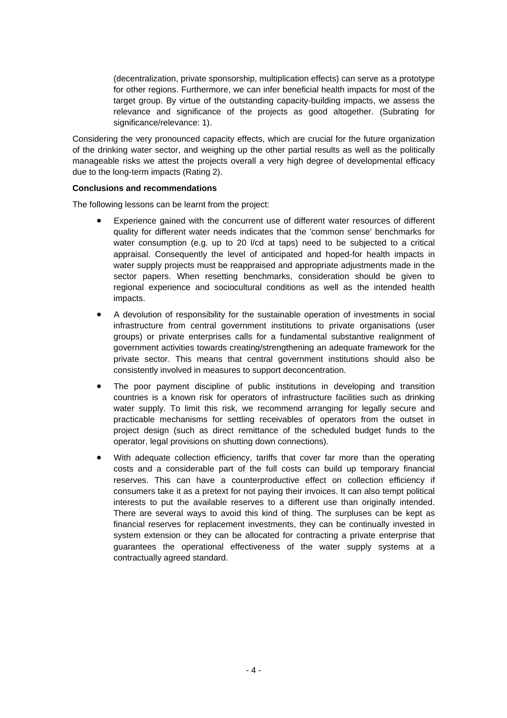(decentralization, private sponsorship, multiplication effects) can serve as a prototype for other regions. Furthermore, we can infer beneficial health impacts for most of the target group. By virtue of the outstanding capacity-building impacts, we assess the relevance and significance of the projects as good altogether. (Subrating for significance/relevance: 1).

Considering the very pronounced capacity effects, which are crucial for the future organization of the drinking water sector, and weighing up the other partial results as well as the politically manageable risks we attest the projects overall a very high degree of developmental efficacy due to the long-term impacts (Rating 2).

#### **Conclusions and recommendations**

The following lessons can be learnt from the project:

- Experience gained with the concurrent use of different water resources of different quality for different water needs indicates that the 'common sense' benchmarks for water consumption (e.g. up to 20 l/cd at taps) need to be subjected to a critical appraisal. Consequently the level of anticipated and hoped-for health impacts in water supply projects must be reappraised and appropriate adjustments made in the sector papers. When resetting benchmarks, consideration should be given to regional experience and sociocultural conditions as well as the intended health impacts.
- A devolution of responsibility for the sustainable operation of investments in social infrastructure from central government institutions to private organisations (user groups) or private enterprises calls for a fundamental substantive realignment of government activities towards creating/strengthening an adequate framework for the private sector. This means that central government institutions should also be consistently involved in measures to support deconcentration.
- The poor payment discipline of public institutions in developing and transition countries is a known risk for operators of infrastructure facilities such as drinking water supply. To limit this risk, we recommend arranging for legally secure and practicable mechanisms for settling receivables of operators from the outset in project design (such as direct remittance of the scheduled budget funds to the operator, legal provisions on shutting down connections).
- With adequate collection efficiency, tariffs that cover far more than the operating costs and a considerable part of the full costs can build up temporary financial reserves. This can have a counterproductive effect on collection efficiency if consumers take it as a pretext for not paying their invoices. It can also tempt political interests to put the available reserves to a different use than originally intended. There are several ways to avoid this kind of thing. The surpluses can be kept as financial reserves for replacement investments, they can be continually invested in system extension or they can be allocated for contracting a private enterprise that guarantees the operational effectiveness of the water supply systems at a contractually agreed standard.